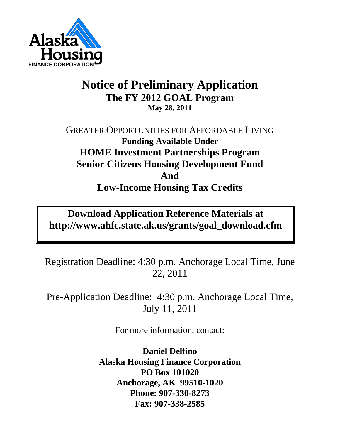

# **Notice of Preliminary Application The FY 2012 GOAL Program May 28, 2011**

## GREATER OPPORTUNITIES FOR AFFORDABLE LIVING **Funding Available Under HOME Investment Partnerships Program Senior Citizens Housing Development Fund And Low-Income Housing Tax Credits**

# **Download Application Reference Materials at http://www.ahfc.state.ak.us/grants/goal\_download.cfm**

Registration Deadline: 4:30 p.m. Anchorage Local Time, June 22, 2011

Pre-Application Deadline: 4:30 p.m. Anchorage Local Time, July 11, 2011

For more information, contact:

**Daniel Delfino Alaska Housing Finance Corporation PO Box 101020 Anchorage, AK 99510-1020 Phone: 907-330-8273 Fax: 907-338-2585**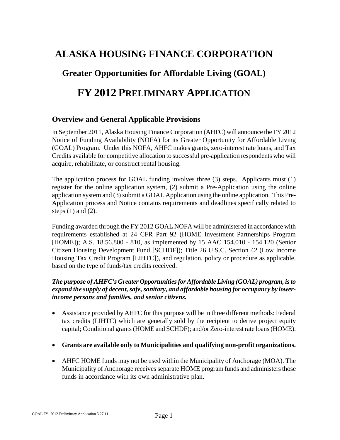## **ALASKA HOUSING FINANCE CORPORATION**

## **Greater Opportunities for Affordable Living (GOAL)**

## **FY 2012 PRELIMINARY APPLICATION**

#### **Overview and General Applicable Provisions**

In September 2011, Alaska Housing Finance Corporation (AHFC) will announce the FY 2012 Notice of Funding Availability (NOFA) for its Greater Opportunity for Affordable Living (GOAL) Program. Under this NOFA, AHFC makes grants, zero-interest rate loans, and Tax Credits available for competitive allocation to successful pre-application respondents who will acquire, rehabilitate, or construct rental housing.

The application process for GOAL funding involves three (3) steps. Applicants must (1) register for the online application system, (2) submit a Pre-Application using the online application system and (3) submit a GOAL Application using the online application. This Pre-Application process and Notice contains requirements and deadlines specifically related to steps  $(1)$  and  $(2)$ .

Funding awarded through the FY 2012 GOAL NOFA will be administered in accordance with requirements established at 24 CFR Part 92 (HOME Investment Partnerships Program [HOME]); A.S. 18.56.800 - 810, as implemented by 15 AAC 154.010 - 154.120 (Senior Citizen Housing Development Fund [SCHDF]); Title 26 U.S.C. Section 42 (Low Income Housing Tax Credit Program [LIHTC]), and regulation, policy or procedure as applicable, based on the type of funds/tax credits received.

#### *The purpose of AHFC's Greater Opportunities for Affordable Living (GOAL) program, is to*  expand the supply of decent, safe, sanitary, and affordable housing for occupancy by lower*income persons and families, and senior citizens.*

- Assistance provided by AHFC for this purpose will be in three different methods: Federal tax credits (LIHTC) which are generally sold by the recipient to derive project equity capital; Conditional grants (HOME and SCHDF); and/or Zero-interest rate loans (HOME).
- **Grants are available only to Municipalities and qualifying non-profit organizations.**
- AHFC HOME funds may not be used within the Municipality of Anchorage (MOA). The Municipality of Anchorage receives separate HOME program funds and administers those funds in accordance with its own administrative plan.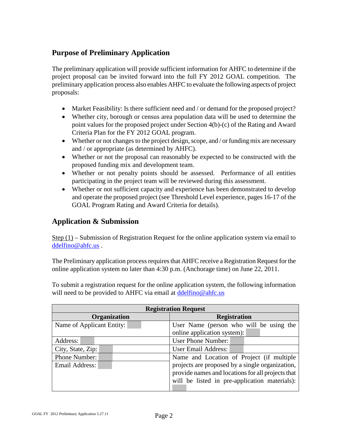### **Purpose of Preliminary Application**

The preliminary application will provide sufficient information for AHFC to determine if the project proposal can be invited forward into the full FY 2012 GOAL competition. The preliminary application process also enables AHFC to evaluate the following aspects of project proposals:

- Market Feasibility: Is there sufficient need and / or demand for the proposed project?
- Whether city, borough or census area population data will be used to determine the point values for the proposed project under Section 4(b)-(c) of the Rating and Award Criteria Plan for the FY 2012 GOAL program.
- Whether or not changes to the project design, scope, and / or funding mix are necessary and / or appropriate (as determined by AHFC).
- Whether or not the proposal can reasonably be expected to be constructed with the proposed funding mix and development team.
- Whether or not penalty points should be assessed. Performance of all entities participating in the project team will be reviewed during this assessment.
- Whether or not sufficient capacity and experience has been demonstrated to develop and operate the proposed project (see Threshold Level experience, pages 16-17 of the GOAL Program Rating and Award Criteria for details).

### **Application & Submission**

Step (1) – Submission of Registration Request for the online application system via email to [ddelfino@ahfc.us](mailto:ddelfino@ahfc.us) .

The Preliminary application process requires that AHFC receive a Registration Request for the online application system no later than 4:30 p.m. (Anchorage time) on June 22, 2011.

To submit a registration request for the online application system, the following information will need to be provided to AHFC via email at *ddelfino@ahfc.us* 

| <b>Registration Request</b> |                                                                                                                                                       |  |  |  |
|-----------------------------|-------------------------------------------------------------------------------------------------------------------------------------------------------|--|--|--|
| Organization                | <b>Registration</b>                                                                                                                                   |  |  |  |
| Name of Applicant Entity:   | User Name (person who will be using the                                                                                                               |  |  |  |
|                             | online application system):                                                                                                                           |  |  |  |
| Address:                    | <b>User Phone Number:</b>                                                                                                                             |  |  |  |
| City, State, Zip:           | <b>User Email Address:</b>                                                                                                                            |  |  |  |
| Phone Number:               | Name and Location of Project (if multiple                                                                                                             |  |  |  |
| Email Address:              | projects are proposed by a single organization,<br>provide names and locations for all projects that<br>will be listed in pre-application materials): |  |  |  |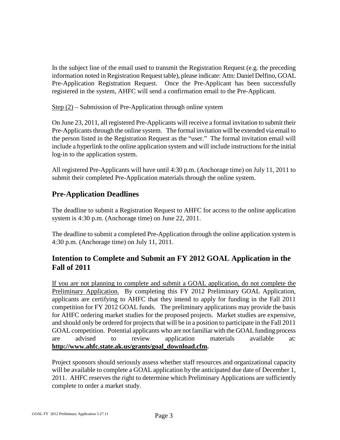In the subject line of the email used to transmit the Registration Request (e.g. the preceding information noted in Registration Request table), please indicate: Attn: Daniel Delfino, GOAL Pre-Application Registration Request. Once the Pre-Applicant has been successfully registered in the system, AHFC will send a confirmation email to the Pre-Applicant.

 $Step (2)$  – Submission of Pre-Application through online system

On June 23, 2011, all registered Pre-Applicants will receive a formal invitation to submit their Pre-Applicants through the online system. The formal invitation will be extended via email to the person listed in the Registration Request as the "user." The formal invitation email will include a hyperlink to the online application system and will include instructions for the initial log-in to the application system.

All registered Pre-Applicants will have until 4:30 p.m. (Anchorage time) on July 11, 2011 to submit their completed Pre-Application materials through the online system.

#### **Pre-Application Deadlines**

The deadline to submit a Registration Request to AHFC for access to the online application system is 4:30 p.m. (Anchorage time) on June 22, 2011.

The deadline to submit a completed Pre-Application through the online application system is 4:30 p.m. (Anchorage time) on July 11, 2011.

### **Intention to Complete and Submit an FY 2012 GOAL Application in the Fall of 2011**

If you are not planning to complete and submit a GOAL application, do not complete the Preliminary Application. By completing this FY 2012 Preliminary GOAL Application, applicants are certifying to AHFC that they intend to apply for funding in the Fall 2011 competition for FY 2012 GOAL funds. The preliminary applications may provide the basis for AHFC ordering market studies for the proposed projects. Market studies are expensive, and should only be ordered for projects that will be in a position to participate in the Fall 2011 GOAL competition. Potential applicants who are not familiar with the GOAL funding process are advised to review application materials available at: **[http://www.ahfc.state.ak.us/grants/goal\\_download.cfm.](http://www.ahfc.state.ak.us/grants/goal_download.cfm)**

Project sponsors should seriously assess whether staff resources and organizational capacity will be available to complete a GOAL application by the anticipated due date of December 1, 2011. AHFC reserves the right to determine which Preliminary Applications are sufficiently complete to order a market study.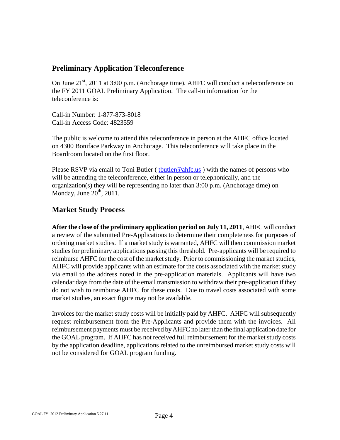#### **Preliminary Application Teleconference**

On June  $21^{st}$ , 2011 at 3:00 p.m. (Anchorage time), AHFC will conduct a teleconference on the FY 2011 GOAL Preliminary Application. The call-in information for the teleconference is:

Call-in Number: 1-877-873-8018 Call-in Access Code: 4823559

The public is welcome to attend this teleconference in person at the AHFC office located on 4300 Boniface Parkway in Anchorage. This teleconference will take place in the Boardroom located on the first floor.

Please RSVP via email to Toni Butler ( thut left  $@ahfc.us$  ) with the names of persons who will be attending the teleconference, either in person or telephonically, and the organization(s) they will be representing no later than 3:00 p.m. (Anchorage time) on Monday, June  $20^{th}$ ,  $2011$ .

#### **Market Study Process**

**After the close of the preliminary application period on July 11, 2011**, AHFC will conduct a review of the submitted Pre-Applications to determine their completeness for purposes of ordering market studies. If a market study is warranted, AHFC will then commission market studies for preliminary applications passing this threshold. Pre-applicants will be required to reimburse AHFC for the cost of the market study. Prior to commissioning the market studies, AHFC will provide applicants with an estimate for the costs associated with the market study via email to the address noted in the pre-application materials. Applicants will have two calendar days from the date of the email transmission to withdraw their pre-application if they do not wish to reimburse AHFC for these costs. Due to travel costs associated with some market studies, an exact figure may not be available.

Invoices for the market study costs will be initially paid by AHFC. AHFC will subsequently request reimbursement from the Pre-Applicants and provide them with the invoices. All reimbursement payments must be received by AHFC no later than the final application date for the GOAL program. If AHFC has not received full reimbursement for the market study costs by the application deadline, applications related to the unreimbursed market study costs will not be considered for GOAL program funding.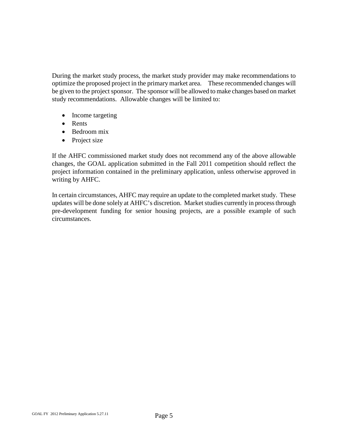During the market study process, the market study provider may make recommendations to optimize the proposed project in the primary market area. These recommended changes will be given to the project sponsor. The sponsor will be allowed to make changes based on market study recommendations. Allowable changes will be limited to:

- Income targeting
- Rents
- Bedroom mix
- Project size

If the AHFC commissioned market study does not recommend any of the above allowable changes, the GOAL application submitted in the Fall 2011 competition should reflect the project information contained in the preliminary application, unless otherwise approved in writing by AHFC.

In certain circumstances, AHFC may require an update to the completed market study. These updates will be done solely at AHFC's discretion. Market studies currently in process through pre-development funding for senior housing projects, are a possible example of such circumstances.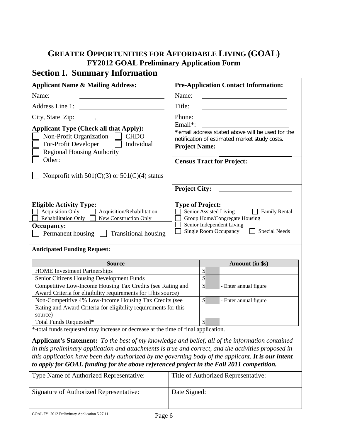# **GREATER OPPORTUNITIES FOR AFFORDABLE LIVING (GOAL) FY2012 GOAL Preliminary Application Form**

# **Section I. Summary Information**

<span id="page-6-0"></span>

| <b>Applicant Name &amp; Mailing Address:</b>                                                                                                                                                                                                                                                                                                                                                              |                                                                                                                                                                            | <b>Pre-Application Contact Information:</b>       |  |  |  |
|-----------------------------------------------------------------------------------------------------------------------------------------------------------------------------------------------------------------------------------------------------------------------------------------------------------------------------------------------------------------------------------------------------------|----------------------------------------------------------------------------------------------------------------------------------------------------------------------------|---------------------------------------------------|--|--|--|
| Name:<br>Name:                                                                                                                                                                                                                                                                                                                                                                                            |                                                                                                                                                                            | <u> 1980 - Johann Barbara, martin a</u>           |  |  |  |
|                                                                                                                                                                                                                                                                                                                                                                                                           | Title:                                                                                                                                                                     |                                                   |  |  |  |
|                                                                                                                                                                                                                                                                                                                                                                                                           | Phone:                                                                                                                                                                     |                                                   |  |  |  |
| <b>Applicant Type (Check all that Apply):</b><br>Non-Profit Organization<br><b>CHDO</b>                                                                                                                                                                                                                                                                                                                   | Email*:<br>*email address stated above will be used for the<br>notification of estimated market study costs.                                                               |                                                   |  |  |  |
| For-Profit Developer<br>Individual<br><b>Regional Housing Authority</b>                                                                                                                                                                                                                                                                                                                                   |                                                                                                                                                                            | <b>Project Name:</b>                              |  |  |  |
| Other:<br><u> 1980 - Jan Samuel II, politik eta politik eta politik eta politik eta politik eta politik eta politik eta po</u>                                                                                                                                                                                                                                                                            |                                                                                                                                                                            | <b>Census Tract for Project:</b>                  |  |  |  |
| Nonprofit with $501(C)(3)$ or $501(C)(4)$ status                                                                                                                                                                                                                                                                                                                                                          |                                                                                                                                                                            |                                                   |  |  |  |
|                                                                                                                                                                                                                                                                                                                                                                                                           | <b>Project City:</b>                                                                                                                                                       |                                                   |  |  |  |
| <b>Eligible Activity Type:</b><br><b>Acquisition Only</b><br>Acquisition/Rehabilitation<br>Rehabilitation Only<br>New Construction Only<br>Occupancy:<br>Permanent housing <u>I</u> Transitional housing                                                                                                                                                                                                  | <b>Type of Project:</b><br>Senior Assisted Living<br>Family Rental<br>Group Home/Congregate Housing<br>Senior Independent Living<br>Single Room Occupancy<br>Special Needs |                                                   |  |  |  |
| <b>Anticipated Funding Request:</b>                                                                                                                                                                                                                                                                                                                                                                       |                                                                                                                                                                            |                                                   |  |  |  |
| <b>Source</b>                                                                                                                                                                                                                                                                                                                                                                                             |                                                                                                                                                                            | Amount (in \$s)                                   |  |  |  |
| <b>HOME</b> Investment Partnerships                                                                                                                                                                                                                                                                                                                                                                       |                                                                                                                                                                            | $\boldsymbol{\mathsf{S}}$                         |  |  |  |
| Senior Citizens Housing Development Funds                                                                                                                                                                                                                                                                                                                                                                 |                                                                                                                                                                            | $\boldsymbol{\mathsf{S}}$                         |  |  |  |
| Competitive Low-Income Housing Tax Credits (see Rating and                                                                                                                                                                                                                                                                                                                                                |                                                                                                                                                                            | $\overline{\mathcal{S}}$<br>- Enter annual figure |  |  |  |
| Award Criteria for eligibility requirements for □his source)<br>Non-Competitive 4% Low-Income Housing Tax Credits (see<br>Rating and Award Criteria for eligibility requirements for this<br>source)                                                                                                                                                                                                      | $\boldsymbol{\mathsf{S}}$<br>- Enter annual figure                                                                                                                         |                                                   |  |  |  |
| Total Funds Requested*                                                                                                                                                                                                                                                                                                                                                                                    | $\mathcal{S}$                                                                                                                                                              |                                                   |  |  |  |
| *-total funds requested may increase or decrease at the time of final application.                                                                                                                                                                                                                                                                                                                        |                                                                                                                                                                            |                                                   |  |  |  |
| Applicant's Statement: To the best of my knowledge and belief, all of the information contained<br>in this preliminary application and attachments is true and correct, and the activities proposed in<br>this application have been duly authorized by the governing body of the applicant. It is our intent<br>to apply for GOAL funding for the above referenced project in the Fall 2011 competition. |                                                                                                                                                                            |                                                   |  |  |  |

| Type Name of Authorized Representative: | Title of Authorized Representative: |
|-----------------------------------------|-------------------------------------|
| Signature of Authorized Representative: | Date Signed:                        |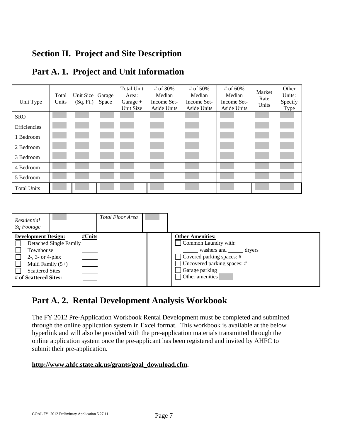## **Section II. Project and Site Description**

| Unit Type          | Total<br>Units | Unit Size<br>(Sq. Ft.) | Garage<br>Space | <b>Total Unit</b><br>Area:<br>Garage $+$<br>Unit Size | # of 30%<br>Median<br>Income Set-<br>Aside Units | # of 50%<br>Median<br>Income Set-<br>Aside Units | # of 60%<br>Median<br>Income Set-<br>Aside Units | Market<br>Rate<br>Units | Other<br>Units:<br>Specify<br>Type |
|--------------------|----------------|------------------------|-----------------|-------------------------------------------------------|--------------------------------------------------|--------------------------------------------------|--------------------------------------------------|-------------------------|------------------------------------|
| <b>SRO</b>         |                |                        |                 |                                                       |                                                  |                                                  |                                                  |                         |                                    |
| Efficiencies       |                |                        |                 |                                                       |                                                  |                                                  |                                                  |                         |                                    |
| 1 Bedroom          |                |                        |                 |                                                       |                                                  |                                                  |                                                  |                         |                                    |
| 2 Bedroom          |                |                        |                 |                                                       |                                                  |                                                  |                                                  |                         |                                    |
| 3 Bedroom          |                |                        |                 |                                                       |                                                  |                                                  |                                                  |                         |                                    |
| 4 Bedroom          |                |                        |                 |                                                       |                                                  |                                                  |                                                  |                         |                                    |
| 5 Bedroom          |                |                        |                 |                                                       |                                                  |                                                  |                                                  |                         |                                    |
| <b>Total Units</b> |                |                        |                 |                                                       |                                                  |                                                  |                                                  |                         |                                    |

### **Part A. 1. Project and Unit Information**

| Residential<br>Sq Footage                                                                                                                |                                         | Total Floor Area |                                                                                                                                                                                                                   |
|------------------------------------------------------------------------------------------------------------------------------------------|-----------------------------------------|------------------|-------------------------------------------------------------------------------------------------------------------------------------------------------------------------------------------------------------------|
| <b>Development Design:</b><br>Townhouse<br>$2-$ , 3- or 4-plex<br>Multi Family $(5+)$<br><b>Scattered Sites</b><br># of Scattered Sites: | #Units<br>Detached Single Family ______ |                  | <b>Other Amenities:</b><br>Common Laundry with:<br>washers and _______ dryers<br>$\Box$ Covered parking spaces: $\frac{\#}{\#}$<br>Uncovered parking spaces: $\frac{\#}{\#}$<br>Garage parking<br>Other amenities |

## **Part A. 2. Rental Development Analysis Workbook**

The FY 2012 Pre-Application Workbook Rental Development must be completed and submitted through the online application system in Excel format. This workbook is available at the below hyperlink and will also be provided with the pre-application materials transmitted through the online application system once the pre-applicant has been registered and invited by AHFC to submit their pre-application.

#### **[http://www.ahfc.state.ak.us/grants/goal\\_download.cfm.](http://www.ahfc.state.ak.us/grants/goal_download.cfm)**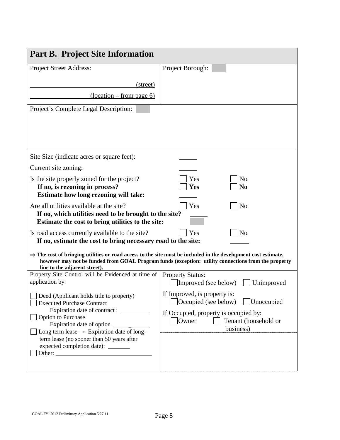| <b>Part B. Project Site Information</b>                                                                                                                                                                                                                                                                                                                                                                                                                                                    |                                                                                                     |
|--------------------------------------------------------------------------------------------------------------------------------------------------------------------------------------------------------------------------------------------------------------------------------------------------------------------------------------------------------------------------------------------------------------------------------------------------------------------------------------------|-----------------------------------------------------------------------------------------------------|
| Project Street Address:                                                                                                                                                                                                                                                                                                                                                                                                                                                                    | Project Borough:                                                                                    |
| (street)                                                                                                                                                                                                                                                                                                                                                                                                                                                                                   |                                                                                                     |
| $\frac{1}{\cos(100 - \sin(100))}$                                                                                                                                                                                                                                                                                                                                                                                                                                                          |                                                                                                     |
| Project's Complete Legal Description:                                                                                                                                                                                                                                                                                                                                                                                                                                                      |                                                                                                     |
|                                                                                                                                                                                                                                                                                                                                                                                                                                                                                            |                                                                                                     |
|                                                                                                                                                                                                                                                                                                                                                                                                                                                                                            |                                                                                                     |
|                                                                                                                                                                                                                                                                                                                                                                                                                                                                                            |                                                                                                     |
| Site Size (indicate acres or square feet):                                                                                                                                                                                                                                                                                                                                                                                                                                                 |                                                                                                     |
| Current site zoning:                                                                                                                                                                                                                                                                                                                                                                                                                                                                       |                                                                                                     |
| Is the site properly zoned for the project?<br>If no, is rezoning in process?<br>Estimate how long rezoning will take:                                                                                                                                                                                                                                                                                                                                                                     | Yes<br>No<br>Yes<br>N <sub>0</sub>                                                                  |
| Are all utilities available at the site?<br>If no, which utilities need to be brought to the site?<br>Estimate the cost to bring utilities to the site:                                                                                                                                                                                                                                                                                                                                    | Yes<br>N <sub>o</sub>                                                                               |
| Is road access currently available to the site?<br>If no, estimate the cost to bring necessary road to the site:                                                                                                                                                                                                                                                                                                                                                                           | Yes<br>N <sub>0</sub>                                                                               |
| $\Rightarrow$ The cost of bringing utilities or road access to the site must be included in the development cost estimate,<br>line to the adjacent street).                                                                                                                                                                                                                                                                                                                                | however may not be funded from GOAL Program funds (exception: utility connections from the property |
| Property Site Control will be Evidenced at time of<br>application by:                                                                                                                                                                                                                                                                                                                                                                                                                      | <b>Property Status:</b><br>Improved (see below)<br>Unimproved                                       |
| $\Box$ Deed (Applicant holds title to property)<br><b>Executed Purchase Contract</b>                                                                                                                                                                                                                                                                                                                                                                                                       | If Improved, is property is:<br>$\log$ [Occupied (see below)<br>  Unoccupied                        |
| Option to Purchase<br>Expiration date of option $\frac{1}{\sqrt{1-\frac{1}{\sqrt{1-\frac{1}{\sqrt{1-\frac{1}{\sqrt{1-\frac{1}{\sqrt{1-\frac{1}{\sqrt{1-\frac{1}{\sqrt{1-\frac{1}{\sqrt{1-\frac{1}{\sqrt{1-\frac{1}{\sqrt{1-\frac{1}{\sqrt{1-\frac{1}{\sqrt{1-\frac{1}{\sqrt{1-\frac{1}{\sqrt{1-\frac{1}{\sqrt{1-\frac{1}{\sqrt{1-\frac{1}{\sqrt{1-\frac{1}{\sqrt{1-\frac{1}{\sqrt{1-\frac{1}{\sqrt{1-\frac{1}{\sqrt{1-\frac{1}{$<br>Long term lease $\rightarrow$ Expiration date of long- | If Occupied, property is occupied by:<br>Owner<br>Tenant (household or<br>business)                 |
| term lease (no sooner than 50 years after<br>expected completion date): ________                                                                                                                                                                                                                                                                                                                                                                                                           |                                                                                                     |
|                                                                                                                                                                                                                                                                                                                                                                                                                                                                                            |                                                                                                     |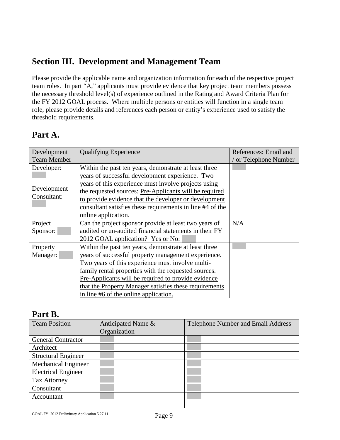## **Section III. Development and Management Team**

Please provide the applicable name and organization information for each of the respective project team roles. In part "A," applicants must provide evidence that key project team members possess the necessary threshold level(s) of experience outlined in the Rating and Award Criteria Plan for the FY 2012 GOAL process. Where multiple persons or entities will function in a single team role, please provide details and references each person or entity's experience used to satisfy the threshold requirements.

## **Part A.**

| Development        | <b>Qualifying Experience</b>                              | References: Email and |
|--------------------|-----------------------------------------------------------|-----------------------|
| <b>Team Member</b> |                                                           | / or Telephone Number |
| Developer:         | Within the past ten years, demonstrate at least three     |                       |
|                    | years of successful development experience. Two           |                       |
|                    | years of this experience must involve projects using      |                       |
| Development        | the requested sources: Pre-Applicants will be required    |                       |
| Consultant:        | to provide evidence that the developer or development     |                       |
|                    | consultant satisfies these requirements in line #4 of the |                       |
|                    | online application.                                       |                       |
| Project            | Can the project sponsor provide at least two years of     | N/A                   |
| Sponsor:           | audited or un-audited financial statements in their FY    |                       |
|                    | 2012 GOAL application? Yes or No:                         |                       |
| Property           | Within the past ten years, demonstrate at least three     |                       |
| Manager:           | years of successful property management experience.       |                       |
|                    | Two years of this experience must involve multi-          |                       |
|                    | family rental properties with the requested sources.      |                       |
|                    | Pre-Applicants will be required to provide evidence       |                       |
|                    | that the Property Manager satisfies these requirements    |                       |
|                    | in line #6 of the online application.                     |                       |

### **Part B.**

| <b>Team Position</b>       | Anticipated Name &<br>Organization | Telephone Number and Email Address |  |  |
|----------------------------|------------------------------------|------------------------------------|--|--|
| <b>General Contractor</b>  |                                    |                                    |  |  |
| Architect                  |                                    |                                    |  |  |
| <b>Structural Engineer</b> |                                    |                                    |  |  |
| <b>Mechanical Engineer</b> |                                    |                                    |  |  |
| <b>Electrical Engineer</b> |                                    |                                    |  |  |
| <b>Tax Attorney</b>        |                                    |                                    |  |  |
| Consultant                 |                                    |                                    |  |  |
| Accountant                 |                                    |                                    |  |  |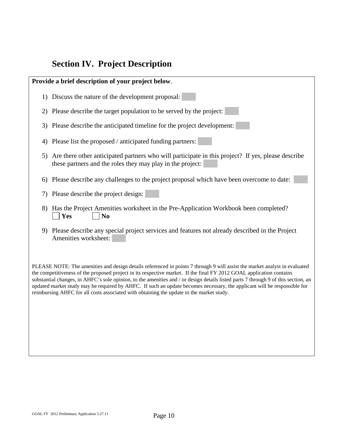## **Section IV. Project Description**

**Provide a brief description of your project below**. 1) Discuss the nature of the development proposal: 2) Please describe the target population to be served by the project: 3) Please describe the anticipated timeline for the project development: 4) Please list the proposed / anticipated funding partners: 5) Are there other anticipated partners who will participate in this project? If yes, please describe these partners and the roles they may play in the project: 6) Please describe any challenges to the project proposal which have been overcome to date: 7) Please describe the project design: 8) Has the Project Amenities worksheet in the Pre-Application Workbook been completed?  $Yes$   $No$ 9) Please describe any special project services and features not already described in the Project Amenities worksheet: PLEASE NOTE: The amenities and design details referenced in points 7 through 9 will assist the market analyst in evaluated the competitiveness of the proposed project in its respective market. If the final FY 2012 GOAL application contains substantial changes, in AHFC's sole opinion, to the amenities and / or design details listed parts 7 through 9 of this section, an updated market study may be required by AHFC. If such an update becomes necessary, the applicant will be responsible for reimbursing AHFC for all costs associated with obtaining the update to the market study.